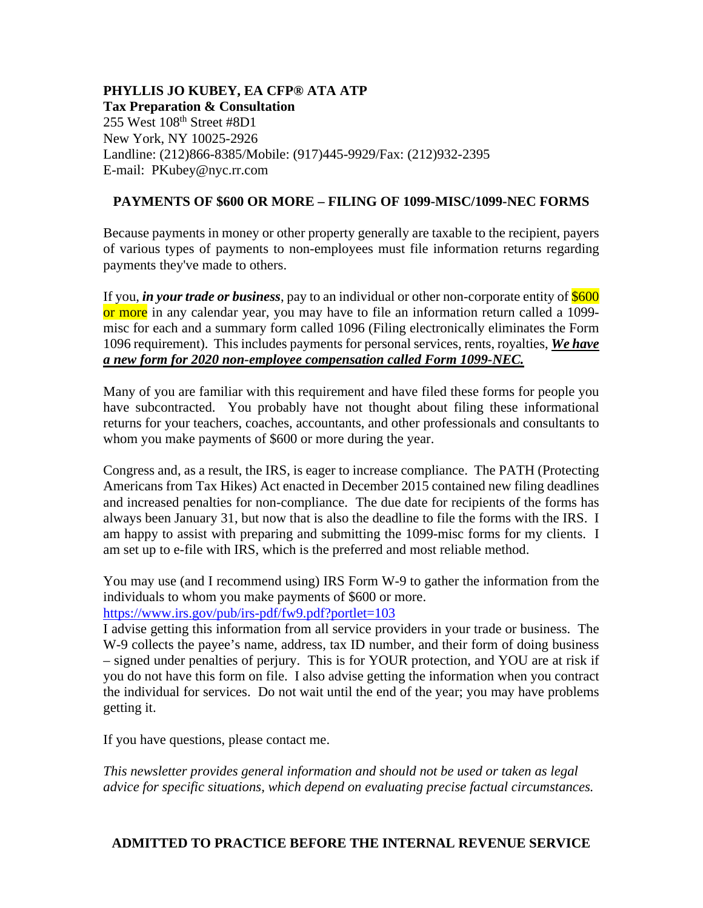# **PHYLLIS JO KUBEY, EA CFP® ATA ATP**

**Tax Preparation & Consultation** 255 West 108<sup>th</sup> Street #8D1 New York, NY 10025-2926 Landline: (212)866-8385/Mobile: (917)445-9929/Fax: (212)932-2395 E-mail: PKubey@nyc.rr.com

# **PAYMENTS OF \$600 OR MORE – FILING OF 1099-MISC/1099-NEC FORMS**

Because payments in money or other property generally are taxable to the recipient, payers of various types of payments to non-employees must file information returns regarding payments they've made to others.

If you, *in your trade or business*, pay to an individual or other non-corporate entity of \$600 or more in any calendar year, you may have to file an information return called a 1099misc for each and a summary form called 1096 (Filing electronically eliminates the Form 1096 requirement). This includes payments for personal services, rents, royalties, *We have a new form for 2020 non-employee compensation called Form 1099-NEC.*

Many of you are familiar with this requirement and have filed these forms for people you have subcontracted. You probably have not thought about filing these informational returns for your teachers, coaches, accountants, and other professionals and consultants to whom you make payments of \$600 or more during the year.

Congress and, as a result, the IRS, is eager to increase compliance. The PATH (Protecting Americans from Tax Hikes) Act enacted in December 2015 contained new filing deadlines and increased penalties for non-compliance. The due date for recipients of the forms has always been January 31, but now that is also the deadline to file the forms with the IRS. I am happy to assist with preparing and submitting the 1099-misc forms for my clients. I am set up to e-file with IRS, which is the preferred and most reliable method.

You may use (and I recommend using) IRS Form W-9 to gather the information from the individuals to whom you make payments of \$600 or more.

## <https://www.irs.gov/pub/irs-pdf/fw9.pdf?portlet=103>

I advise getting this information from all service providers in your trade or business. The W-9 collects the payee's name, address, tax ID number, and their form of doing business – signed under penalties of perjury. This is for YOUR protection, and YOU are at risk if you do not have this form on file. I also advise getting the information when you contract the individual for services. Do not wait until the end of the year; you may have problems getting it.

If you have questions, please contact me.

*This newsletter provides general information and should not be used or taken as legal advice for specific situations, which depend on evaluating precise factual circumstances.*

## **ADMITTED TO PRACTICE BEFORE THE INTERNAL REVENUE SERVICE**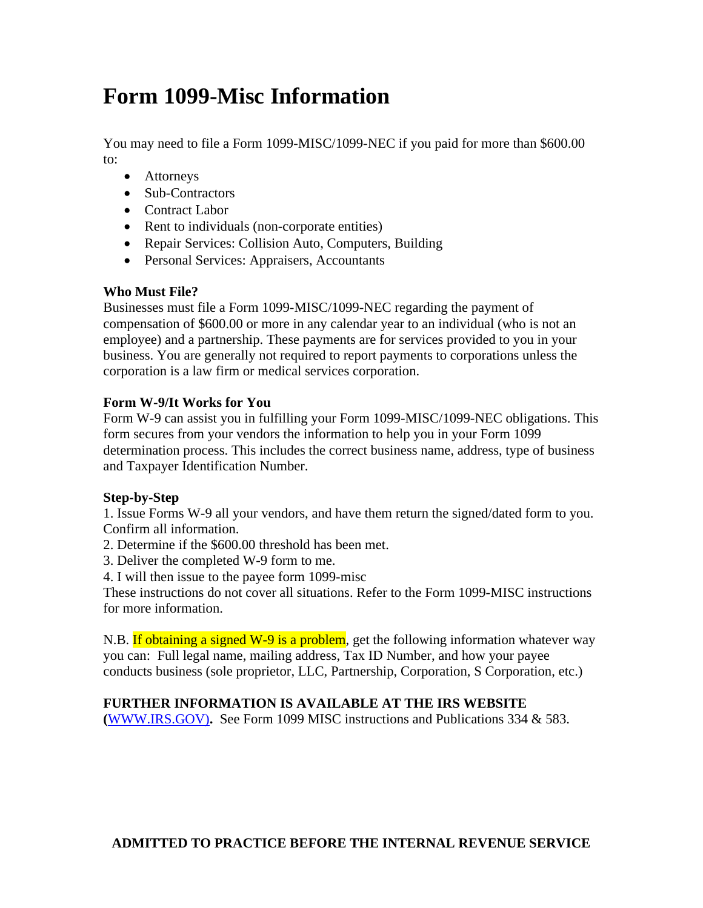# **Form 1099-Misc Information**

You may need to file a Form 1099-MISC/1099-NEC if you paid for more than \$600.00 to:

- Attorneys
- Sub-Contractors
- Contract Labor
- Rent to individuals (non-corporate entities)
- Repair Services: Collision Auto, Computers, Building
- Personal Services: Appraisers, Accountants

## **Who Must File?**

Businesses must file a Form 1099-MISC/1099-NEC regarding the payment of compensation of \$600.00 or more in any calendar year to an individual (who is not an employee) and a partnership. These payments are for services provided to you in your business. You are generally not required to report payments to corporations unless the corporation is a law firm or medical services corporation.

# **Form W-9/It Works for You**

Form W-9 can assist you in fulfilling your Form 1099-MISC/1099-NEC obligations. This form secures from your vendors the information to help you in your Form 1099 determination process. This includes the correct business name, address, type of business and Taxpayer Identification Number.

## **Step-by-Step**

1. Issue Forms W-9 all your vendors, and have them return the signed/dated form to you. Confirm all information.

- 2. Determine if the \$600.00 threshold has been met.
- 3. Deliver the completed W-9 form to me.
- 4. I will then issue to the payee form 1099-misc

These instructions do not cover all situations. Refer to the Form 1099-MISC instructions for more information.

N.B. If obtaining a signed W-9 is a problem, get the following information whatever way you can: Full legal name, mailing address, Tax ID Number, and how your payee conducts business (sole proprietor, LLC, Partnership, Corporation, S Corporation, etc.)

# **FURTHER INFORMATION IS AVAILABLE AT THE IRS WEBSITE**

**(**[WWW.IRS.GOV\)](http://www.irs.gov)/)**.** See Form 1099 MISC instructions and Publications 334 & 583.

# **ADMITTED TO PRACTICE BEFORE THE INTERNAL REVENUE SERVICE**